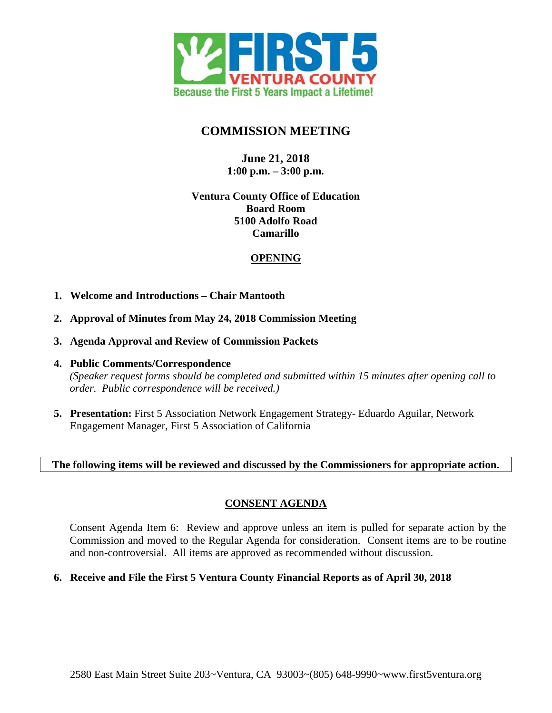

# **COMMISSION MEETING**

# **June 21, 2018 1:00 p.m. – 3:00 p.m.**

### **Ventura County Office of Education Board Room 5100 Adolfo Road Camarillo**

## **OPENING**

- **1. Welcome and Introductions Chair Mantooth**
- **2. Approval of Minutes from May 24, 2018 Commission Meeting**
- **3. Agenda Approval and Review of Commission Packets**
- **4. Public Comments/Correspondence** *(Speaker request forms should be completed and submitted within 15 minutes after opening call to order. Public correspondence will be received.)*
- **5. Presentation:** First 5 Association Network Engagement Strategy- Eduardo Aguilar, Network Engagement Manager, First 5 Association of California

### **The following items will be reviewed and discussed by the Commissioners for appropriate action.**

# **CONSENT AGENDA**

Consent Agenda Item 6: Review and approve unless an item is pulled for separate action by the Commission and moved to the Regular Agenda for consideration. Consent items are to be routine and non-controversial. All items are approved as recommended without discussion.

#### **6. Receive and File the First 5 Ventura County Financial Reports as of April 30, 2018**